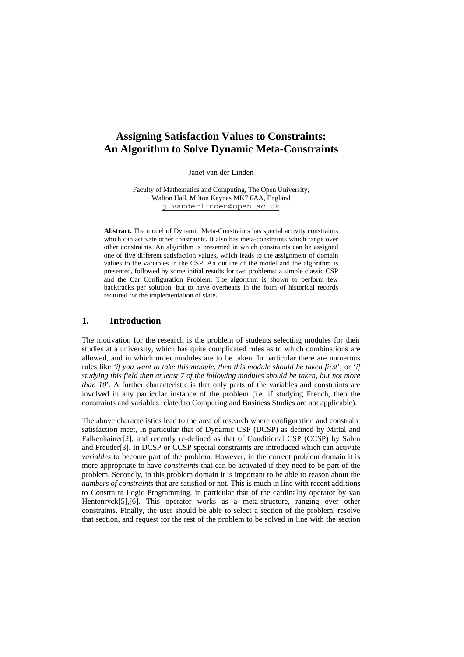# **Assigning Satisfaction Values to Constraints: An Algorithm to Solve Dynamic Meta-Constraints**

Janet van der Linden

Faculty of Mathematics and Computing, The Open University, Walton Hall, Milton Keynes MK7 6AA, England j.vanderlinden@open.ac.uk

**Abstract.** The model of Dynamic Meta-Constraints has special activity constraints which can activate other constraints. It also has meta-constraints which range over other constraints. An algorithm is presented in which constraints can be assigned one of five different satisfaction values, which leads to the assignment of domain values to the variables in the CSP. An outline of the model and the algorithm is presented, followed by some initial results for two problems: a simple classic CSP and the Car Configuration Problem. The algorithm is shown to perform few backtracks per solution, but to have overheads in the form of historical records required for the implementation of state**.**

# **1. Introduction**

The motivation for the research is the problem of students selecting modules for their studies at a university, which has quite complicated rules as to which combinations are allowed, and in which order modules are to be taken. In particular there are numerous rules like *'if you want to take this module, then this module should be taken first*', or '*if studying this field then at least 7 of the following modules should be taken, but not more than 10*'. A further characteristic is that only parts of the variables and constraints are involved in any particular instance of the problem (i.e. if studying French, then the constraints and variables related to Computing and Business Studies are not applicable).

The above characteristics lead to the area of research where configuration and constraint satisfaction meet, in particular that of Dynamic CSP (DCSP) as defined by Mittal and Falkenhainer[2], and recently re-defined as that of Conditional CSP (CCSP) by Sabin and Freuder[3]. In DCSP or CCSP special constraints are introduced which can activate *variables* to become part of the problem. However, in the current problem domain it is more appropriate to have *constraints* that can be activated if they need to be part of the problem. Secondly, in this problem domain it is important to be able to reason about the *numbers of constraints* that are satisfied or not. This is much in line with recent additions to Constraint Logic Programming, in particular that of the cardinality operator by van Hentenryck[5],[6]. This operator works as a meta-structure, ranging over other constraints. Finally, the user should be able to select a section of the problem, resolve that section, and request for the rest of the problem to be solved in line with the section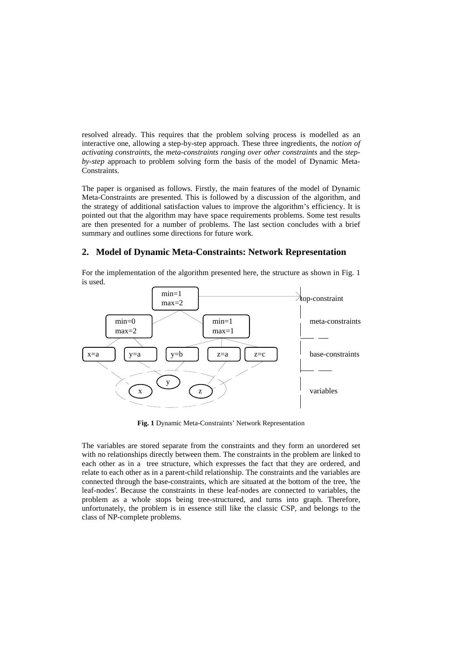resolved already. This requires that the problem solving process is modelled as an interactive one, allowing a step-by-step approach. These three ingredients, the *notion of activating constraints*, the *meta-constraints ranging over other constraints* and the *stepby-step* approach to problem solving form the basis of the model of Dynamic Meta-Constraints.

The paper is organised as follows. Firstly, the main features of the model of Dynamic Meta-Constraints are presented. This is followed by a discussion of the algorithm, and the strategy of additional satisfaction values to improve the algorithm's efficiency. It is pointed out that the algorithm may have space requirements problems. Some test results are then presented for a number of problems. The last section concludes with a brief summary and outlines some directions for future work.

#### **2. Model of Dynamic Meta-Constraints: Network Representation**

For the implementation of the algorithm presented here, the structure as shown in Fig. 1 is used.



**Fig. 1** Dynamic Meta-Constraints' Network Representation

The variables are stored separate from the constraints and they form an unordered set with no relationships directly between them. The constraints in the problem are linked to each other as in a tree structure, which expresses the fact that they are ordered, and relate to each other as in a parent-child relationship. The constraints and the variables are connected through the base-constraints, which are situated at the bottom of the tree, 'the leaf-nodes'. Because the constraints in these leaf-nodes are connected to variables, the problem as a whole stops being tree-structured, and turns into graph. Therefore, unfortunately, the problem is in essence still like the classic CSP, and belongs to the class of NP-complete problems.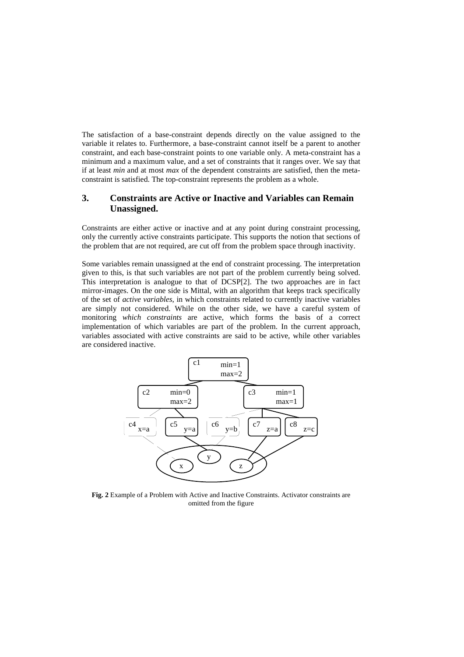The satisfaction of a base-constraint depends directly on the value assigned to the variable it relates to. Furthermore, a base-constraint cannot itself be a parent to another constraint, and each base-constraint points to one variable only. A meta-constraint has a minimum and a maximum value, and a set of constraints that it ranges over. We say that if at least *min* and at most *max* of the dependent constraints are satisfied, then the metaconstraint is satisfied. The top-constraint represents the problem as a whole.

# **3. Constraints are Active or Inactive and Variables can Remain Unassigned.**

Constraints are either active or inactive and at any point during constraint processing, only the currently active constraints participate. This supports the notion that sections of the problem that are not required, are cut off from the problem space through inactivity.

Some variables remain unassigned at the end of constraint processing. The interpretation given to this, is that such variables are not part of the problem currently being solved. This interpretation is analogue to that of DCSP[2]. The two approaches are in fact mirror-images. On the one side is Mittal, with an algorithm that keeps track specifically of the set of *active variables*, in which constraints related to currently inactive variables are simply not considered. While on the other side, we have a careful system of monitoring *which constraints* are active, which forms the basis of a correct implementation of which variables are part of the problem. In the current approach, variables associated with active constraints are said to be active, while other variables are considered inactive.



**Fig. 2** Example of a Problem with Active and Inactive Constraints. Activator constraints are omitted from the figure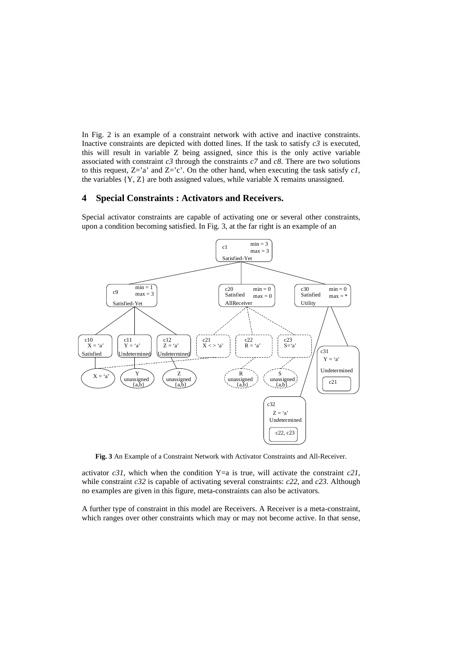In Fig. 2 is an example of a constraint network with active and inactive constraints. Inactive constraints are depicted with dotted lines. If the task to satisfy *c3* is executed, this will result in variable Z being assigned, since this is the only active variable associated with constraint  $c3$  through the constraints  $c7$  and  $c8$ . There are two solutions to this request,  $Z = a'$  and  $Z = c'$ . On the other hand, when executing the task satisfy *c1*, the variables {Y, Z} are both assigned values, while variable X remains unassigned.

#### **4 Special Constraints : Activators and Receivers.**

Special activator constraints are capable of activating one or several other constraints, upon a condition becoming satisfied. In Fig. 3, at the far right is an example of an



**Fig. 3** An Example of a Constraint Network with Activator Constraints and All-Receiver.

activator  $c31$ , which when the condition Y=a is true, will activate the constraint  $c21$ , while constraint *c32* is capable of activating several constraints: *c22*, and *c23*. Although no examples are given in this figure, meta-constraints can also be activators.

A further type of constraint in this model are Receivers. A Receiver is a meta-constraint, which ranges over other constraints which may or may not become active. In that sense,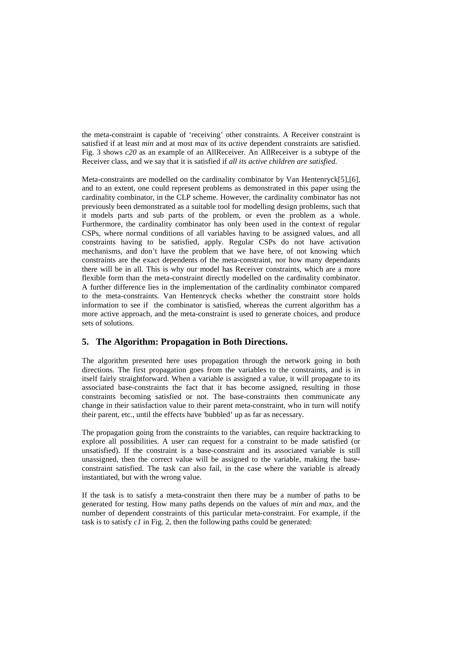the meta-constraint is capable of 'receiving' other constraints. A Receiver constraint is satisfied if at least *min* and at most *max* of its *active* dependent constraints are satisfied. Fig. 3 shows *c20* as an example of an AllReceiver. An AllReceiver is a subtype of the Receiver class, and we say that it is satisfied if *all its active children are satisfied*.

Meta-constraints are modelled on the cardinality combinator by Van Hentenryck[5],[6], and to an extent, one could represent problems as demonstrated in this paper using the cardinality combinator, in the CLP scheme. However, the cardinality combinator has not previously been demonstrated as a suitable tool for modelling design problems, such that it models parts and sub parts of the problem, or even the problem as a whole. Furthermore, the cardinality combinator has only been used in the context of regular CSPs, where normal conditions of all variables having to be assigned values, and all constraints having to be satisfied, apply. Regular CSPs do not have activation mechanisms, and don't have the problem that we have here, of not knowing which constraints are the exact dependents of the meta-constraint, nor how many dependants there will be in all. This is why our model has Receiver constraints, which are a more flexible form than the meta-constraint directly modelled on the cardinality combinator. A further difference lies in the implementation of the cardinality combinator compared to the meta-constraints. Van Hentenryck checks whether the constraint store holds information to see if the combinator is satisfied, whereas the current algorithm has a more active approach, and the meta-constraint is used to generate choices, and produce sets of solutions.

# **5. The Algorithm: Propagation in Both Directions.**

The algorithm presented here uses propagation through the network going in both directions. The first propagation goes from the variables to the constraints, and is in itself fairly straightforward. When a variable is assigned a value, it will propagate to its associated base-constraints the fact that it has become assigned, resulting in those constraints becoming satisfied or not. The base-constraints then communicate any change in their satisfaction value to their parent meta-constraint, who in turn will notify their parent, etc., until the effects have 'bubbled' up as far as necessary.

The propagation going from the constraints to the variables, can require backtracking to explore all possibilities. A user can request for a constraint to be made satisfied (or unsatisfied). If the constraint is a base-constraint and its associated variable is still unassigned, then the correct value will be assigned to the variable, making the baseconstraint satisfied. The task can also fail, in the case where the variable is already instantiated, but with the wrong value.

If the task is to satisfy a meta-constraint then there may be a number of paths to be generated for testing. How many paths depends on the values of *min* and *max*, and the number of dependent constraints of this particular meta-constraint. For example, if the task is to satisfy *c1* in Fig. 2, then the following paths could be generated: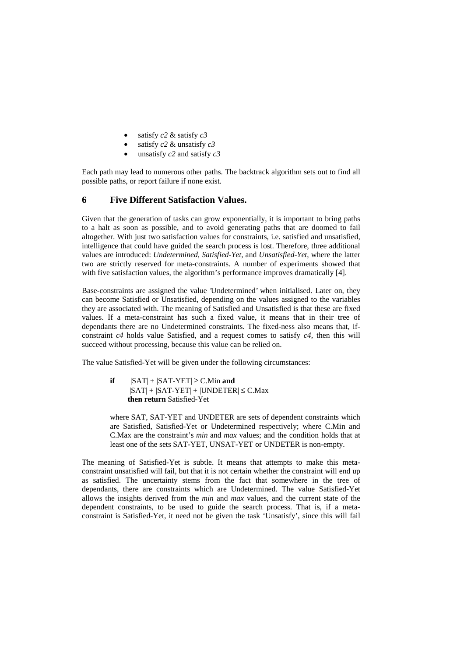- satisfy *c2* & satisfy *c3*
- satisfy *c2* & unsatisfy *c3*
- unsatisfy *c2* and satisfy *c3*

Each path may lead to numerous other paths. The backtrack algorithm sets out to find all possible paths, or report failure if none exist.

### **6 Five Different Satisfaction Values.**

Given that the generation of tasks can grow exponentially, it is important to bring paths to a halt as soon as possible, and to avoid generating paths that are doomed to fail altogether. With just two satisfaction values for constraints, i.e. satisfied and unsatisfied, intelligence that could have guided the search process is lost. Therefore, three additional values are introduced: *Undetermined, Satisfied-Yet,* and *Unsatisfied-Yet*, where the latter two are strictly reserved for meta-constraints. A number of experiments showed that with five satisfaction values, the algorithm's performance improves dramatically [4].

Base-constraints are assigned the value 'Undetermined' when initialised. Later on, they can become Satisfied or Unsatisfied, depending on the values assigned to the variables they are associated with. The meaning of Satisfied and Unsatisfied is that these are fixed values. If a meta-constraint has such a fixed value, it means that in their tree of dependants there are no Undetermined constraints. The fixed-ness also means that, ifconstraint *c4* holds value Satisfied, and a request comes to satisfy *c4*, then this will succeed without processing, because this value can be relied on.

The value Satisfied-Yet will be given under the following circumstances:

**if**  $|SAT| + |SAT-YET| \ge C.M$  in **and**  $|SAT| + |SAT-YET| + |UNDETER| \leq C.Max$ **then return** Satisfied-Yet

where SAT, SAT-YET and UNDETER are sets of dependent constraints which are Satisfied, Satisfied-Yet or Undetermined respectively; where C.Min and C.Max are the constraint's *min* and *max* values; and the condition holds that at least one of the sets SAT-YET, UNSAT-YET or UNDETER is non-empty.

The meaning of Satisfied-Yet is subtle. It means that attempts to make this metaconstraint unsatisfied will fail, but that it is not certain whether the constraint will end up as satisfied. The uncertainty stems from the fact that somewhere in the tree of dependants, there are constraints which are Undetermined. The value Satisfied-Yet allows the insights derived from the *min* and *max* values, and the current state of the dependent constraints, to be used to guide the search process. That is, if a metaconstraint is Satisfied-Yet, it need not be given the task 'Unsatisfy', since this will fail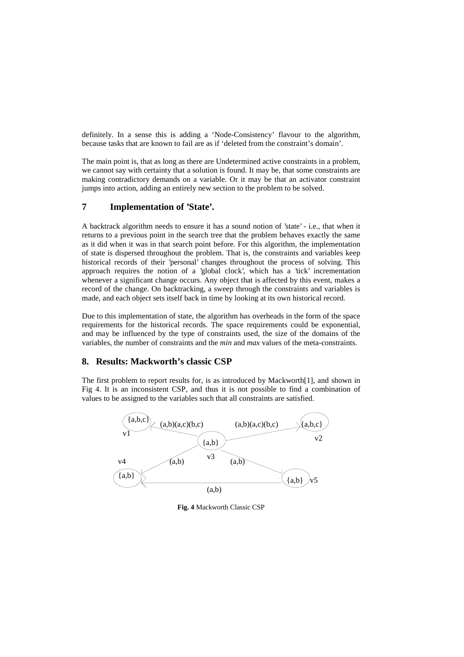definitely. In a sense this is adding a 'Node-Consistency' flavour to the algorithm, because tasks that are known to fail are as if 'deleted from the constraint's domain'.

The main point is, that as long as there are Undetermined active constraints in a problem, we cannot say with certainty that a solution is found. It may be, that some constraints are making contradictory demands on a variable. Or it may be that an activator constraint jumps into action, adding an entirely new section to the problem to be solved.

## **7 Implementation of 'State'.**

A backtrack algorithm needs to ensure it has a sound notion of 'state' - i.e., that when it returns to a previous point in the search tree that the problem behaves exactly the same as it did when it was in that search point before. For this algorithm, the implementation of state is dispersed throughout the problem. That is, the constraints and variables keep historical records of their 'personal' changes throughout the process of solving. This approach requires the notion of a 'global clock', which has a 'tick' incrementation whenever a significant change occurs. Any object that is affected by this event, makes a record of the change. On backtracking, a sweep through the constraints and variables is made, and each object sets itself back in time by looking at its own historical record.

Due to this implementation of state, the algorithm has overheads in the form of the space requirements for the historical records. The space requirements could be exponential, and may be influenced by the type of constraints used, the size of the domains of the variables, the number of constraints and the *min* and *max* values of the meta-constraints.

# **8. Results: Mackworth's classic CSP**

The first problem to report results for, is as introduced by Mackworth[1], and shown in Fig 4. It is an inconsistent CSP, and thus it is not possible to find a combination of values to be assigned to the variables such that all constraints are satisfied.



**Fig. 4** Mackworth Classic CSP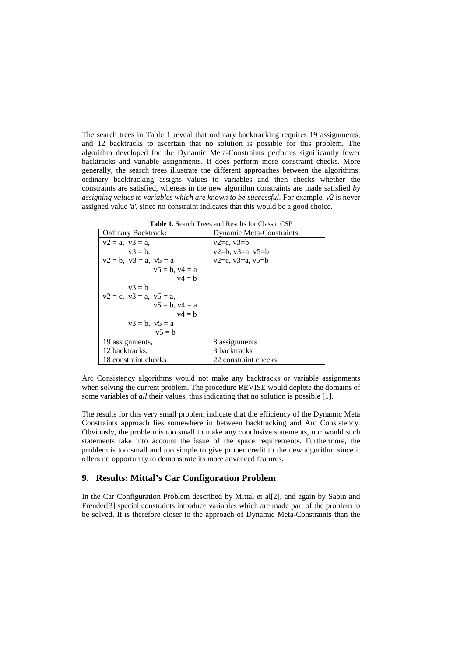The search trees in Table 1 reveal that ordinary backtracking requires 19 assignments, and 12 backtracks to ascertain that no solution is possible for this problem. The algorithm developed for the Dynamic Meta-Constraints performs significantly fewer backtracks and variable assignments. It does perform more constraint checks. More generally, the search trees illustrate the different approaches between the algorithms: ordinary backtracking assigns values to variables and then checks whether the constraints are satisfied, whereas in the new algorithm constraints are made satisfied *by assigning values to variables which are known to be successful*. For example, *v2* is never assigned value 'a', since no constraint indicates that this would be a good choice.

| <b>Table 1.</b> Search Trees and Results for Classic CSP |  |
|----------------------------------------------------------|--|
|----------------------------------------------------------|--|

| Ordinary Backtrack:              | <b>Dynamic Meta-Constraints:</b> |  |  |
|----------------------------------|----------------------------------|--|--|
| $v2 = a$ , $v3 = a$ ,            | $v2=c, v3=b$                     |  |  |
| $v3 = b$ .                       | $v2=b, v3=a, v5=b$               |  |  |
| $v2 = b$ , $v3 = a$ , $v5 = a$   | $v2=c, v3=a, v5=b$               |  |  |
| $v5 = b$ , $v4 = a$              |                                  |  |  |
| $v4 = h$                         |                                  |  |  |
| $v^2 = h$                        |                                  |  |  |
| $v2 = c$ , $v3 = a$ , $v5 = a$ , |                                  |  |  |
| $v5 = b$ , $v4 = a$              |                                  |  |  |
| $v4 = h$                         |                                  |  |  |
| $v3 = b$ , $v5 = a$              |                                  |  |  |
| $v5 = b$                         |                                  |  |  |
| 19 assignments,                  | 8 assignments                    |  |  |
| 12 backtracks.                   | 3 backtracks                     |  |  |
| 18 constraint checks             | 22 constraint checks             |  |  |

Arc Consistency algorithms would not make any backtracks or variable assignments when solving the current problem. The procedure REVISE would deplete the domains of some variables of *all* their values, thus indicating that no solution is possible [1].

The results for this very small problem indicate that the efficiency of the Dynamic Meta Constraints approach lies somewhere in between backtracking and Arc Consistency. Obviously, the problem is too small to make any conclusive statements, nor would such statements take into account the issue of the space requirements. Furthermore, the problem is too small and too simple to give proper credit to the new algorithm since it offers no opportunity to demonstrate its more advanced features.

### **9. Results: Mittal's Car Configuration Problem**

In the Car Configuration Problem described by Mittal et al[2], and again by Sabin and Freuder[3] special constraints introduce variables which are made part of the problem to be solved. It is therefore closer to the approach of Dynamic Meta-Constraints than the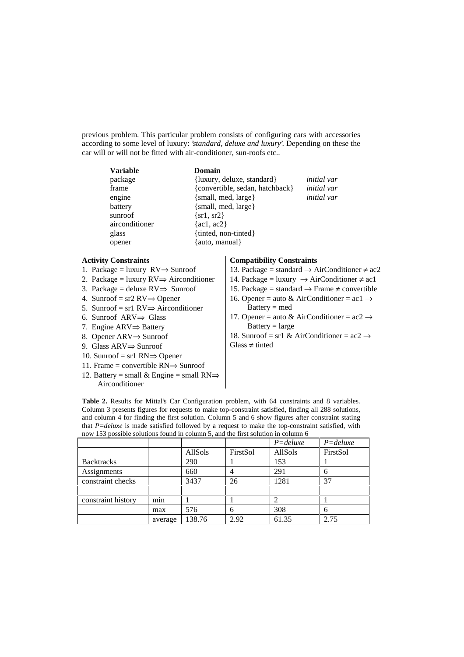previous problem. This particular problem consists of configuring cars with accessories according to some level of luxury: '*standard, deluxe and luxury*'. Depending on these the car will or will not be fitted with air-conditioner, sun-roofs etc..

| <b>Variable</b> | Domain                          |                    |
|-----------------|---------------------------------|--------------------|
| package         | {luxury, deluxe, standard}      | <i>initial</i> var |
| frame           | {convertible, sedan, hatchback} | <i>initial</i> var |
| engine          | $\{small, med, large\}$         | <i>initial</i> var |
| battery         | $\{small, med, large\}$         |                    |
| sunroof         | $\{sr1, sr2\}$                  |                    |
| airconditioner  | $\{ac1, ac2\}$                  |                    |
| glass           | {tinted, non-tinted}            |                    |
| opener          | {auto, manual}                  |                    |
|                 |                                 |                    |

#### **Activity Constraints**

- 1. Package = luxury RV⇒ Sunroof
- 2. Package = luxury  $RV \Rightarrow$  Airconditioner
- 3. Package = deluxe  $RV \Rightarrow$  Sunroof
- 4. Sunroof = sr2 RV⇒ Opener
- 5. Sunroof = sr1 RV $\Rightarrow$  Airconditioner
- 6. Sunroof ARV⇒ Glass
- 7. Engine ARV⇒ Battery
- 8. Opener ARV⇒ Sunroof
- 9. Glass ARV⇒ Sunroof
- 10. Sunroof = sr1 RN⇒ Opener
- 11. Frame = convertible RN⇒ Sunroof
- 12. Battery = small & Engine = small  $RN \Rightarrow$ Airconditioner

#### **Compatibility Constraints**

- 13. Package = standard  $\rightarrow$  AirConditioner  $\neq$  ac2
- 14. Package = luxury  $\rightarrow$  AirConditioner  $\neq$  ac1
- 15. Package = standard  $\rightarrow$  Frame  $\neq$  convertible
- 16. Opener = auto & AirConditioner =  $ac1 \rightarrow$ Battery = med
- 17. Opener = auto & AirConditioner =  $ac2 \rightarrow$  $Battery = large$

18. Sunroof = sr1 & AirConditioner =  $ac2 \rightarrow$  $Glass \neq$  tinted

**Table 2.** Results for Mittal's Car Configuration problem, with 64 constraints and 8 variables. Column 3 presents figures for requests to make top-constraint satisfied, finding all 288 solutions, and column 4 for finding the first solution. Column 5 and 6 show figures after constraint stating that *P=deluxe* is made satisfied followed by a request to make the top-constraint satisfied, with now 153 possible solutions found in column 5, and the first solution in column 6

|                    |         |         |          | $P =$ deluxe | $P =$ deluxe |
|--------------------|---------|---------|----------|--------------|--------------|
|                    |         | AllSols | FirstSol | AllSols      | FirstSol     |
| <b>Backtracks</b>  |         | 290     |          | 153          |              |
| Assignments        |         | 660     |          | 291          |              |
| constraint checks  |         | 3437    | 26       | 1281         | 37           |
|                    |         |         |          |              |              |
| constraint history | min     |         |          |              |              |
|                    | max     | 576     | 6        | 308          | 6            |
|                    | average | 138.76  | 2.92     | 61.35        | 2.75         |